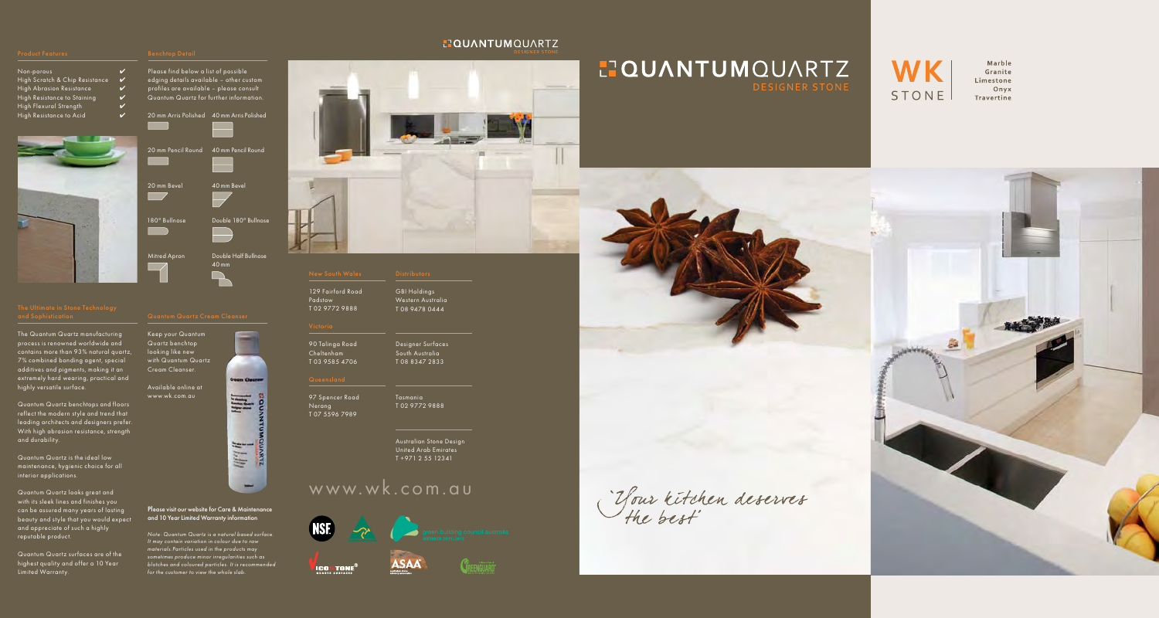### **HOUANTUMOUARTZ**

# **HOUANTUMOUARTZ**

### Non-porous  $\mathcal V$ High Scratch & Chip Resistance  $\mathcal V$ High Abrasion Resistance  $\mathcal V$ High Resistance to Staining High Flexural Strength



# www.wk.com.au



**ICOSTONE®** 













Marble Granite Limestone Onyx Travertine

"Your kitchen deserves"



Please find below a list of possible edging details available – other custom profiles are available – please consult Quantum Quartz for further information.

### High Resistance to Acid **V** 20 mm Arris Polished 40 mm Arris Polished 20 mm Pencil Round 40 mm Pencil Round Ī 20 mm Bevel  $\Box$ 180° Bullnose Ī Mitred Apron 40 mm Bevel Double 180° Bullnose Double Half Bullnose

40 mm

### Please visit our website for Care & Maintenance and 10 Year Limited Warranty information

*Note: Quantum Quartz is a natural based surface. It may contain variation in colour due to raw materials.Particles used in the products may sometimes produce minor irregularities such as blotches and coloured particles. It is recommended for the customer to view the whole slab.*



The Quantum Quartz manufacturing process is renowned worldwide and contains more than 93% natural quartz, 7% combined bonding agent, special additives and pigments, making it an extremely hard wearing, practical and highly versatile surface.

Quantum Quartz benchtops and floors reflect the modern style and trend that leading architects and designers prefer. With high abrasion resistance, strength and durability.

Quantum Quartz is the ideal low maintenance, hygienic choice for all interior applications.

Quantum Quartz looks great and with its sleek lines and finishes you can be assured many years of lasting beauty and style that you would expect and appreciate of such a highly reputable product.

Quantum Quartz surfaces are of the highest quality and offer a 10 Year Limited Warranty.



looking like new with Quantum Quartz Cream Cleanser.

Available online at www.wk.com.au



GBI Holdings Western Australia T 08 9478 0444

Designer Surfaces South Australia T 08 8347 2833

Tasmania T 02 9772 9888

Australian Stone Design United Arab Emirates T +971 2 55 12341

129 Fairford Road Padstow T 02 9772 9888

90 Talinga Road Cheltenham T 03 9585 4706

97 Spencer Road Nerang T 07 5596 7989